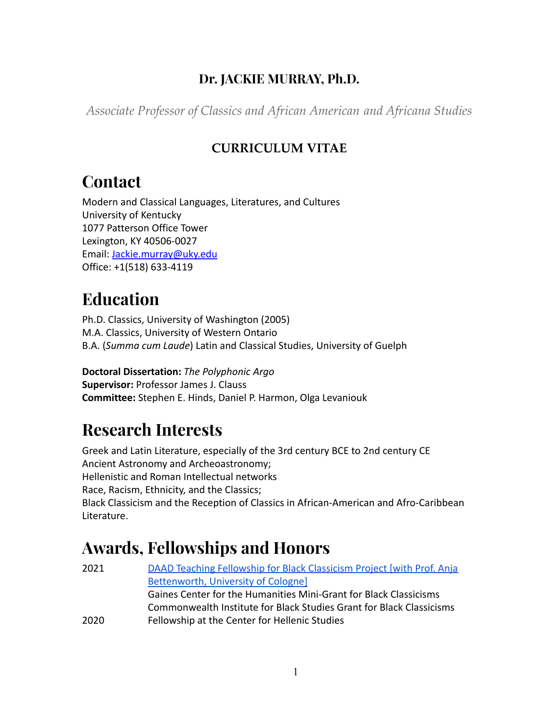### **Dr. JACKIE MURRAY, Ph.D.**

*Associate Professor of Classics and African American and Africana Studies*

### **CURRICULUM VITAE**

### **Contact**

Modern and Classical Languages, Literatures, and Cultures University of Kentucky 1077 Patterson Office Tower Lexington, KY 40506-0027 Email: [Jackie.murray@uky.edu](mailto:Jackie.murray@uky.edu) Office: +1(518) 633-4119

# **Education**

Ph.D. Classics, University of Washington (2005) M.A. Classics, University of Western Ontario B.A. (*Summa cum Laude*) Latin and Classical Studies, University of Guelph

**Doctoral Dissertation:** *The Polyphonic Argo* **Supervisor:** Professor James J. Clauss **Committee:** Stephen E. Hinds, Daniel P. Harmon, Olga Levaniouk

## **Research Interests**

Greek and Latin Literature, especially of the 3rd century BCE to 2nd century CE Ancient Astronomy and Archeoastronomy; Hellenistic and Roman Intellectual networks Race, Racism, Ethnicity, and the Classics; Black Classicism and the Reception of Classics in African-American and Afro-Caribbean Literature.

## **Awards, Fellowships and Honors**

| 2021 | DAAD Teaching Fellowship for Black Classicism Project [with Prof. Anja |
|------|------------------------------------------------------------------------|
|      | Bettenworth, University of Cologne]                                    |
|      | Gaines Center for the Humanities Mini-Grant for Black Classicisms      |
|      | Commonwealth Institute for Black Studies Grant for Black Classicisms   |
| 2020 | Fellowship at the Center for Hellenic Studies                          |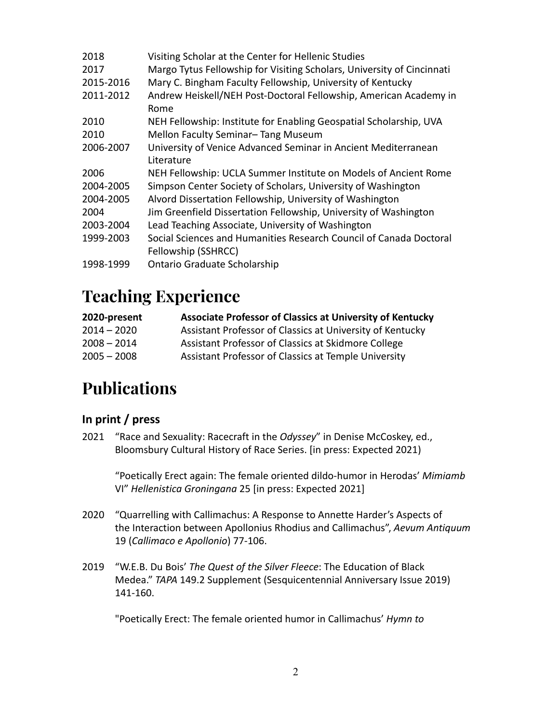| 2018      | Visiting Scholar at the Center for Hellenic Studies                                       |
|-----------|-------------------------------------------------------------------------------------------|
| 2017      | Margo Tytus Fellowship for Visiting Scholars, University of Cincinnati                    |
| 2015-2016 | Mary C. Bingham Faculty Fellowship, University of Kentucky                                |
| 2011-2012 | Andrew Heiskell/NEH Post-Doctoral Fellowship, American Academy in<br>Rome                 |
| 2010      | NEH Fellowship: Institute for Enabling Geospatial Scholarship, UVA                        |
| 2010      | Mellon Faculty Seminar-Tang Museum                                                        |
| 2006-2007 | University of Venice Advanced Seminar in Ancient Mediterranean                            |
|           | Literature                                                                                |
| 2006      | NEH Fellowship: UCLA Summer Institute on Models of Ancient Rome                           |
| 2004-2005 | Simpson Center Society of Scholars, University of Washington                              |
| 2004-2005 | Alvord Dissertation Fellowship, University of Washington                                  |
| 2004      | Jim Greenfield Dissertation Fellowship, University of Washington                          |
| 2003-2004 | Lead Teaching Associate, University of Washington                                         |
| 1999-2003 | Social Sciences and Humanities Research Council of Canada Doctoral<br>Fellowship (SSHRCC) |
| 1998-1999 | Ontario Graduate Scholarship                                                              |

### **Teaching Experience**

| 2020-present  | <b>Associate Professor of Classics at University of Kentucky</b> |
|---------------|------------------------------------------------------------------|
| $2014 - 2020$ | Assistant Professor of Classics at University of Kentucky        |
| $2008 - 2014$ | Assistant Professor of Classics at Skidmore College              |
| $2005 - 2008$ | Assistant Professor of Classics at Temple University             |

# **Publications**

### **In print / press**

2021 "Race and Sexuality: Racecraft in the *Odyssey*" in Denise McCoskey, ed., Bloomsbury Cultural History of Race Series. [in press: Expected 2021)

"Poetically Erect again: The female oriented dildo-humor in Herodas' *Mimiamb* VI" *Hellenistica Groningana* 25 [in press: Expected 2021]

- 2020 "Quarrelling with Callimachus: A Response to Annette Harder's Aspects of the Interaction between Apollonius Rhodius and Callimachus", *Aevum Antiquum* 19 (*Callimaco e Apollonio*) 77-106.
- 2019 "W.E.B. Du Bois' *The Quest of the Silver Fleece*: The Education of Black Medea." *TAPA* 149.2 Supplement (Sesquicentennial Anniversary Issue 2019) 141-160.

"Poetically Erect: The female oriented humor in Callimachus' *Hymn to*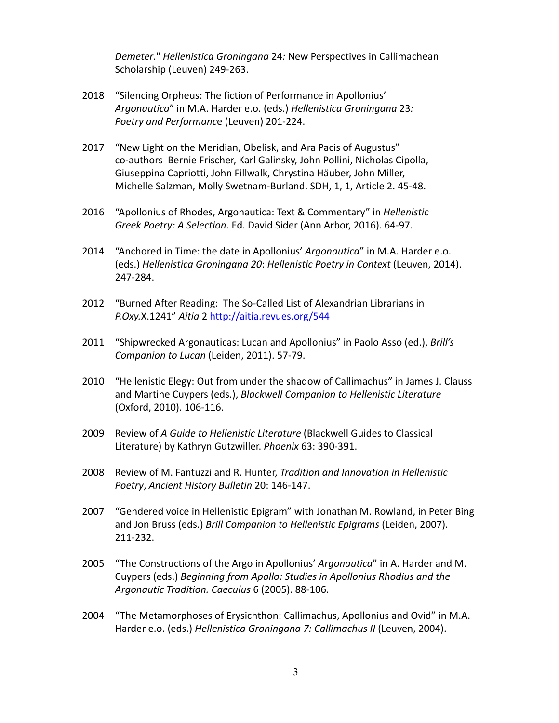*Demeter*." *Hellenistica Groningana* 24*:* New Perspectives in Callimachean Scholarship (Leuven) 249-263.

- 2018 "Silencing Orpheus: The fiction of Performance in Apollonius' *Argonautica*" in M.A. Harder e.o. (eds.) *Hellenistica Groningana* 23*: Poetry and Performanc*e (Leuven) 201-224.
- 2017 "New Light on the Meridian, Obelisk, and Ara Pacis of Augustus" co-authors Bernie Frischer, Karl Galinsky, John Pollini, Nicholas Cipolla, Giuseppina Capriotti, John Fillwalk, Chrystina Häuber, John Miller, Michelle Salzman, Molly Swetnam-Burland. SDH, 1, 1, Article 2. 45-48.
- 2016 "Apollonius of Rhodes, Argonautica: Text & Commentary" in *Hellenistic Greek Poetry: A Selection*. Ed. David Sider (Ann Arbor, 2016). 64-97.
- 2014 "Anchored in Time: the date in Apollonius' *Argonautica*" in M.A. Harder e.o. (eds.) *Hellenistica Groningana 20*: *Hellenistic Poetry in Context* (Leuven, 2014). 247-284.
- 2012 "Burned After Reading: The So-Called List of Alexandrian Librarians in *P.Oxy.*X.1241" *Aitia* 2 <http://aitia.revues.org/544>
- 2011 "Shipwrecked Argonauticas: Lucan and Apollonius" in Paolo Asso (ed.), *Brill's Companion to Lucan* (Leiden, 2011). 57-79.
- 2010 "Hellenistic Elegy: Out from under the shadow of Callimachus" in James J. Clauss and Martine Cuypers (eds.), *Blackwell Companion to Hellenistic Literature* (Oxford, 2010). 106-116.
- 2009 Review of *A Guide to Hellenistic Literature* (Blackwell Guides to Classical Literature) by Kathryn Gutzwiller. *Phoenix* 63: 390-391.
- 2008 Review of M. Fantuzzi and R. Hunter, *Tradition and Innovation in Hellenistic Poetry*, *Ancient History Bulletin* 20: 146-147.
- 2007 "Gendered voice in Hellenistic Epigram" with Jonathan M. Rowland, in Peter Bing and Jon Bruss (eds.) *Brill Companion to Hellenistic Epigrams* (Leiden, 2007). 211-232.
- 2005 "The Constructions of the Argo in Apollonius' *Argonautica*" in A. Harder and M. Cuypers (eds.) *Beginning from Apollo: Studies in Apollonius Rhodius and the Argonautic Tradition. Caeculus* 6 (2005). 88-106.
- 2004 "The Metamorphoses of Erysichthon: Callimachus, Apollonius and Ovid" in M.A. Harder e.o. (eds.) *Hellenistica Groningana 7: Callimachus II* (Leuven, 2004).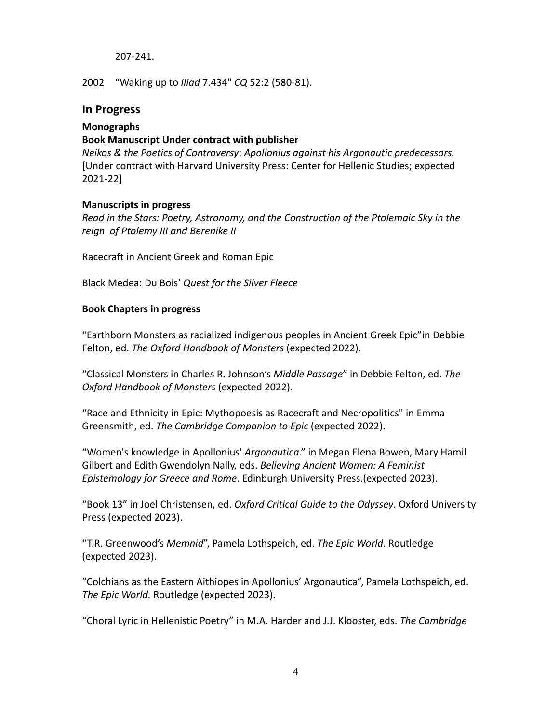#### 207-241.

2002 "Waking up to *Iliad* 7.434" *CQ* 52:2 (580-81).

#### **In Progress**

#### **Monographs**

#### **Book Manuscript Under contract with publisher**

*Neikos & the Poetics of Controversy*: *Apollonius against his Argonautic predecessors.* [Under contract with Harvard University Press: Center for Hellenic Studies; expected 2021-22]

#### **Manuscripts in progress**

*Read in the Stars: Poetry, Astronomy, and the Construction of the Ptolemaic Sky in the reign of Ptolemy III and Berenike II*

Racecraft in Ancient Greek and Roman Epic

Black Medea: Du Bois' *Quest for the Silver Fleece*

#### **Book Chapters in progress**

"Earthborn Monsters as racialized indigenous peoples in Ancient Greek Epic"in Debbie Felton, ed. *The Oxford Handbook of Monsters* (expected 2022).

"Classical Monsters in Charles R. Johnson's *Middle Passage*" in Debbie Felton, ed. *The Oxford Handbook of Monsters* (expected 2022).

"Race and Ethnicity in Epic: Mythopoesis as Racecraft and Necropolitics" in Emma Greensmith, ed. *The Cambridge Companion to Epic* (expected 2022).

"Women's knowledge in Apollonius' *Argonautica*." in Megan Elena Bowen, Mary Hamil Gilbert and Edith Gwendolyn Nally, eds. *Believing Ancient Women: A Feminist Epistemology for Greece and Rome*. Edinburgh University Press.(expected 2023).

"Book 13" in Joel Christensen, ed. *Oxford Critical Guide to the Odyssey*. Oxford University Press (expected 2023).

"T.R. Greenwood's *Memnid*", Pamela Lothspeich, ed. *The Epic World*. Routledge (expected 2023).

"Colchians as the Eastern Aithiopes in Apollonius' Argonautica", Pamela Lothspeich, ed. *The Epic World.* Routledge (expected 2023).

"Choral Lyric in Hellenistic Poetry" in M.A. Harder and J.J. Klooster, eds. *The Cambridge*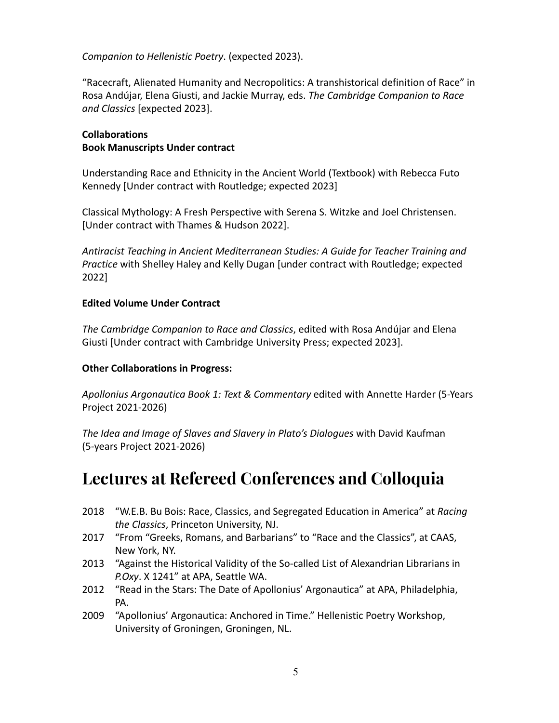*Companion to Hellenistic Poetry*. (expected 2023).

"Racecraft, Alienated Humanity and Necropolitics: A transhistorical definition of Race" in Rosa Andújar, Elena Giusti, and Jackie Murray, eds. *The Cambridge Companion to Race and Classics* [expected 2023].

#### **Collaborations Book Manuscripts Under contract**

Understanding Race and Ethnicity in the Ancient World (Textbook) with Rebecca Futo Kennedy [Under contract with Routledge; expected 2023]

Classical Mythology: A Fresh Perspective with Serena S. Witzke and Joel Christensen. [Under contract with Thames & Hudson 2022].

*Antiracist Teaching in Ancient Mediterranean Studies: A Guide for Teacher Training and Practice* with Shelley Haley and Kelly Dugan [under contract with Routledge; expected 2022]

#### **Edited Volume Under Contract**

*The Cambridge Companion to Race and Classics*, edited with Rosa Andújar and Elena Giusti [Under contract with Cambridge University Press; expected 2023].

#### **Other Collaborations in Progress:**

*Apollonius Argonautica Book 1: Text & Commentary* edited with Annette Harder (5-Years Project 2021-2026)

*The Idea and Image of Slaves and Slavery in Plato's Dialogues* with David Kaufman (5-years Project 2021-2026)

### **Lectures at Refereed Conferences and Colloquia**

- 2018 "W.E.B. Bu Bois: Race, Classics, and Segregated Education in America" at *Racing the Classics*, Princeton University, NJ.
- 2017 "From "Greeks, Romans, and Barbarians" to "Race and the Classics", at CAAS, New York, NY.
- 2013 "Against the Historical Validity of the So-called List of Alexandrian Librarians in *P.Oxy*. X 1241" at APA, Seattle WA.
- 2012 "Read in the Stars: The Date of Apollonius' Argonautica" at APA, Philadelphia, PA.
- 2009 "Apollonius' Argonautica: Anchored in Time." Hellenistic Poetry Workshop, University of Groningen, Groningen, NL.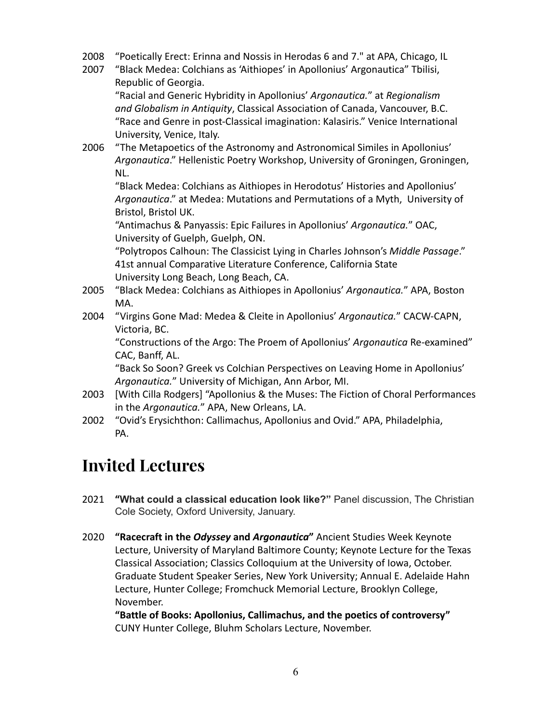- 2008 "Poetically Erect: Erinna and Nossis in Herodas 6 and 7." at APA, Chicago, IL
- 2007 "Black Medea: Colchians as 'Aithiopes' in Apollonius' Argonautica" Tbilisi, Republic of Georgia.

"Racial and Generic Hybridity in Apollonius' *Argonautica.*" at *Regionalism and Globalism in Antiquity*, Classical Association of Canada, Vancouver, B.C. "Race and Genre in post-Classical imagination: Kalasiris." Venice International University, Venice, Italy.

2006 "The Metapoetics of the Astronomy and Astronomical Similes in Apollonius' *Argonautica*." Hellenistic Poetry Workshop, University of Groningen, Groningen, NL.

"Black Medea: Colchians as Aithiopes in Herodotus' Histories and Apollonius' *Argonautica*." at Medea: Mutations and Permutations of a Myth, University of Bristol, Bristol UK.

"Antimachus & Panyassis: Epic Failures in Apollonius' *Argonautica.*" OAC, University of Guelph, Guelph, ON.

"Polytropos Calhoun: The Classicist Lying in Charles Johnson's *Middle Passage*." 41st annual Comparative Literature Conference, California State University Long Beach, Long Beach, CA.

- 2005 "Black Medea: Colchians as Aithiopes in Apollonius' *Argonautica.*" APA, Boston MA.
- 2004 "Virgins Gone Mad: Medea & Cleite in Apollonius' *Argonautica.*" CACW-CAPN, Victoria, BC.

"Constructions of the Argo: The Proem of Apollonius' *Argonautica* Re-examined" CAC, Banff, AL.

"Back So Soon? Greek vs Colchian Perspectives on Leaving Home in Apollonius' *Argonautica.*" University of Michigan, Ann Arbor, MI.

- 2003 [With Cilla Rodgers] "Apollonius & the Muses: The Fiction of Choral Performances in the *Argonautica.*" APA, New Orleans, LA.
- 2002 "Ovid's Erysichthon: Callimachus, Apollonius and Ovid." APA, Philadelphia, PA.

# **Invited Lectures**

- 2021 **"What could a classical education look like?"** Panel discussion, The Christian Cole Society, Oxford University, January.
- 2020 **"Racecraft in the** *Odyssey* **and** *Argonautica***"** Ancient Studies Week Keynote Lecture, University of Maryland Baltimore County; Keynote Lecture for the Texas Classical Association; Classics Colloquium at the University of Iowa, October. Graduate Student Speaker Series, New York University; Annual E. Adelaide Hahn Lecture, Hunter College; Fromchuck Memorial Lecture, Brooklyn College, November.

**"Battle of Books: Apollonius, Callimachus, and the poetics of controversy"** CUNY Hunter College, Bluhm Scholars Lecture, November.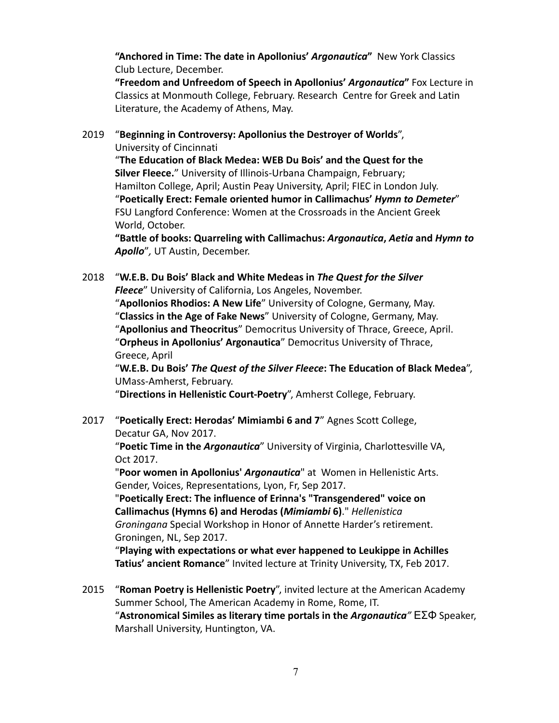**"Anchored in Time: The date in Apollonius'** *Argonautica***"** New York Classics Club Lecture, December.

**"Freedom and Unfreedom of Speech in Apollonius'** *Argonautica***"** Fox Lecture in Classics at Monmouth College, February. Research Centre for Greek and Latin Literature, the Academy of Athens, May.

2019 "**Beginning in Controversy: Apollonius the Destroyer of Worlds**", University of Cincinnati

"**The Education of Black Medea: WEB Du Bois' and the Quest for the Silver Fleece.**" University of Illinois-Urbana Champaign, February; Hamilton College, April; Austin Peay University, April; FIEC in London July. "**Poetically Erect: Female oriented humor in Callimachus'** *Hymn to Demeter*" FSU Langford Conference: Women at the Crossroads in the Ancient Greek World, October.

**"Battle of books: Quarreling with Callimachus:** *Argonautica***,** *Aetia* **and** *Hymn to Apollo*"*,* UT Austin, December.

2018 "**W.E.B. Du Bois' Black and White Medeas in** *The Quest for the Silver Fleece*" University of California, Los Angeles, November. "**Apollonios Rhodios: A New Life**" University of Cologne, Germany, May. "**Classics in the Age of Fake News**" University of Cologne, Germany, May. "**Apollonius and Theocritus**" Democritus University of Thrace, Greece, April. "**Orpheus in Apollonius' Argonautica**" Democritus University of Thrace, Greece, April

"**W.E.B. Du Bois'** *The Quest of the Silver Fleece***: The Education of Black Medea**", UMass-Amherst, February.

"**Directions in Hellenistic Court-Poetry**", Amherst College, February.

2017 "**Poetically Erect: Herodas' Mimiambi 6 and 7**" Agnes Scott College, Decatur GA, Nov 2017.

"**Poetic Time in the** *Argonautica*" University of Virginia, Charlottesville VA, Oct 2017.

"**Poor women in Apollonius'** *Argonautica*" at Women in Hellenistic Arts. Gender, Voices, Representations, Lyon, Fr, Sep 2017.

"**Poetically Erect: The influence of Erinna's "Transgendered" voice on Callimachus (Hymns 6) and Herodas (***Mimiambi* **6)**." *Hellenistica Groningana* Special Workshop in Honor of Annette Harder's retirement. Groningen, NL, Sep 2017.

"**Playing with expectations or what ever happened to Leukippe in Achilles Tatius' ancient Romance**" Invited lecture at Trinity University, TX, Feb 2017.

2015 "**Roman Poetry is Hellenistic Poetry**", invited lecture at the American Academy Summer School, The American Academy in Rome, Rome, IT. "**Astronomical Similes as literary time portals in the** *Argonautica"* ΕΣΦ Speaker, Marshall University, Huntington, VA.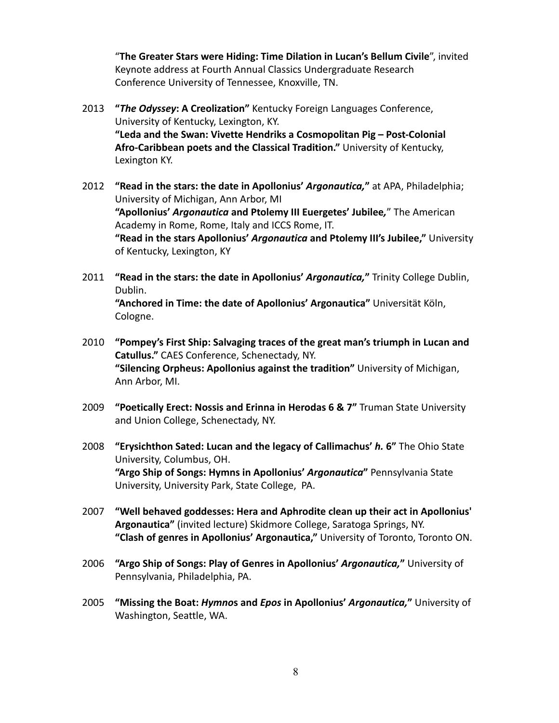"**The Greater Stars were Hiding: Time Dilation in Lucan's Bellum Civile**", invited Keynote address at Fourth Annual Classics Undergraduate Research Conference University of Tennessee, Knoxville, TN.

- 2013 **"***The Odyssey***: A Creolization"** Kentucky Foreign Languages Conference, University of Kentucky, Lexington, KY. **"Leda and the Swan: Vivette Hendriks a Cosmopolitan Pig – Post-Colonial Afro-Caribbean poets and the Classical Tradition."** University of Kentucky, Lexington KY.
- 2012 **"Read in the stars: the date in Apollonius'** *Argonautica,***"** at APA, Philadelphia; University of Michigan, Ann Arbor, MI **"Apollonius'** *Argonautica* **and Ptolemy III Euergetes' Jubilee***,*" The American Academy in Rome, Rome, Italy and ICCS Rome, IT. **"Read in the stars Apollonius'** *Argonautica* **and Ptolemy III's Jubilee,"** University of Kentucky, Lexington, KY
- 2011 **"Read in the stars: the date in Apollonius'** *Argonautica,***"** Trinity College Dublin, Dublin.

**"Anchored in Time: the date of Apollonius' Argonautica"** Universität Köln, Cologne.

- 2010 **"Pompey's First Ship: Salvaging traces of the great man's triumph in Lucan and Catullus."** CAES Conference, Schenectady, NY. **"Silencing Orpheus: Apollonius against the tradition"** University of Michigan, Ann Arbor, MI.
- 2009 **"Poetically Erect: Nossis and Erinna in Herodas 6 & 7"** Truman State University and Union College, Schenectady, NY.
- 2008 **"Erysichthon Sated: Lucan and the legacy of Callimachus'** *h.* **6"** The Ohio State University, Columbus, OH. **"Argo Ship of Songs: Hymns in Apollonius'** *Argonautica***"** Pennsylvania State University, University Park, State College, PA.
- 2007 **"Well behaved goddesses: Hera and Aphrodite clean up their act in Apollonius' Argonautica"** (invited lecture) Skidmore College, Saratoga Springs, NY. **"Clash of genres in Apollonius' Argonautica,"** University of Toronto, Toronto ON.
- 2006 **"Argo Ship of Songs: Play of Genres in Apollonius'** *Argonautica,***"** University of Pennsylvania, Philadelphia, PA.
- 2005 **"Missing the Boat:** *Hymno***s and** *Epos* **in Apollonius'** *Argonautica,***"** University of Washington, Seattle, WA.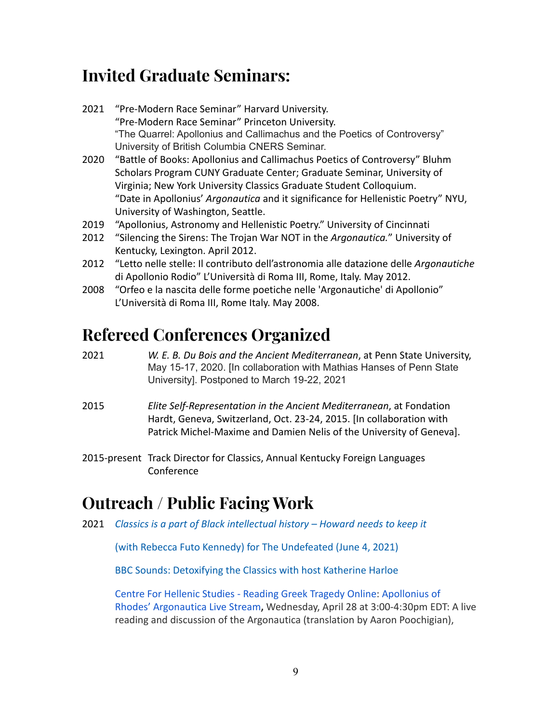## **Invited Graduate Seminars:**

- 2021 "Pre-Modern Race Seminar" Harvard University. "Pre-Modern Race Seminar" Princeton University. "The Quarrel: Apollonius and Callimachus and the Poetics of Controversy" University of British Columbia CNERS Seminar.
- 2020 "Battle of Books: Apollonius and Callimachus Poetics of Controversy" Bluhm Scholars Program CUNY Graduate Center; Graduate Seminar, University of Virginia; New York University Classics Graduate Student Colloquium. "Date in Apollonius' *Argonautica* and it significance for Hellenistic Poetry" NYU, University of Washington, Seattle.
- 2019 "Apollonius, Astronomy and Hellenistic Poetry." University of Cincinnati
- 2012 "Silencing the Sirens: The Trojan War NOT in the *Argonautica.*" University of Kentucky, Lexington. April 2012.
- 2012 "Letto nelle stelle: Il contributo dell'astronomia alle datazione delle *Argonautiche* di Apollonio Rodio" L'Università di Roma III, Rome, Italy. May 2012.
- 2008 "Orfeo e la nascita delle forme poetiche nelle 'Argonautiche' di Apollonio" L'Università di Roma III, Rome Italy. May 2008.

## **Refereed Conferences Organized**

- 2021 *W. E. B. Du Bois and the Ancient Mediterranean*, at Penn State University, May 15-17, 2020. [In collaboration with Mathias Hanses of Penn State University]. Postponed to March 19-22, 2021
- 2015 *Elite Self-Representation in the Ancient Mediterranean*, at Fondation Hardt, Geneva, Switzerland, Oct. 23-24, 2015. [In collaboration with Patrick Michel-Maxime and Damien Nelis of the University of Geneva].
- 2015-present Track Director for Classics, Annual Kentucky Foreign Languages Conference

## **Outreach / Public Facing Work**

2021 *[Classics is a part of Black intellectual history](https://theundefeated.com/features/classics-is-a-part-of-black-intellectual-history-howard-needs-to-keep-it/) – Howard needs to keep it*

[\(with Rebecca Futo Kennedy\) for The Undefeated \(June](https://theundefeated.com/features/classics-is-a-part-of-black-intellectual-history-howard-needs-to-keep-it/) 4, 2021)

[BBC Sounds: Detoxifying the Classics with host Katherine](https://www.bbc.co.uk/sounds/play/m000x72t?fbclid=IwAR2Kclp8U2D63mjcNIrmvFzvzk4mPhqgZj67_HZTb9zEG-hxigbQO46sJwA) Harloe

[Centre For Hellenic Studies - Reading Greek Tragedy](https://www.youtube.com/channel/UC4CZOzGtFzZe2pcONCNT15w) Online: Apollonius of [Rhodes' Argonautica Live Stream](https://www.youtube.com/channel/UC4CZOzGtFzZe2pcONCNT15w)**,** Wednesday, April 28 at 3:00-4:30pm EDT: A live reading and discussion of the Argonautica (translation by Aaron Poochigian),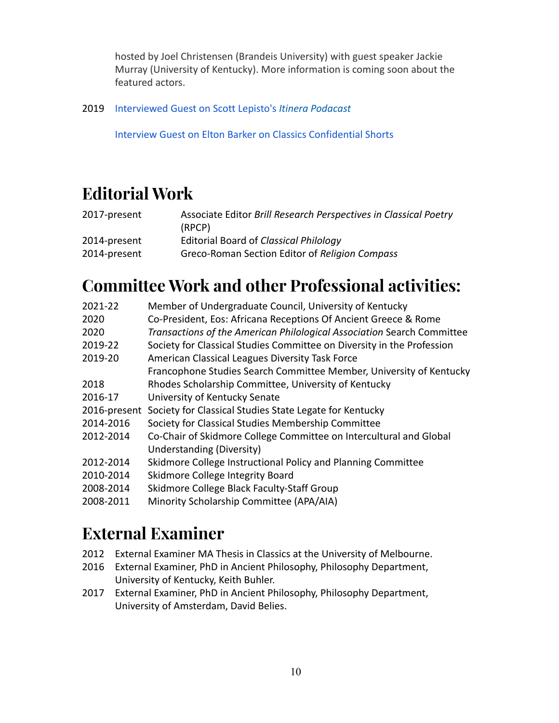hosted by Joel Christensen (Brandeis University) with guest speaker Jackie Murray (University of Kentucky). More information is coming soon about the featured actors.

2019 [Interviewed Guest on Scott Lepisto's](https://itinerapodcast.libsyn.com/episode-12-jackie-murray) *Itinera Podacast*

[Interview Guest on Elton Barker on Classics Confidential](https://classicsconfidential.co.uk/2019/01/31/cc-shorts-2/) Shorts

# **Editorial Work**

| 2017-present | Associate Editor Brill Research Perspectives in Classical Poetry<br>(RPCP) |
|--------------|----------------------------------------------------------------------------|
| 2014-present | Editorial Board of Classical Philology                                     |
| 2014-present | Greco-Roman Section Editor of Religion Compass                             |

# **Committee Work and other Professional activities:**

| 2021-22      | Member of Undergraduate Council, University of Kentucky                |
|--------------|------------------------------------------------------------------------|
| 2020         | Co-President, Eos: Africana Receptions Of Ancient Greece & Rome        |
| 2020         | Transactions of the American Philological Association Search Committee |
| 2019-22      | Society for Classical Studies Committee on Diversity in the Profession |
| 2019-20      | American Classical Leagues Diversity Task Force                        |
|              | Francophone Studies Search Committee Member, University of Kentucky    |
| 2018         | Rhodes Scholarship Committee, University of Kentucky                   |
| 2016-17      | University of Kentucky Senate                                          |
| 2016-present | Society for Classical Studies State Legate for Kentucky                |
| 2014-2016    | Society for Classical Studies Membership Committee                     |
| 2012-2014    | Co-Chair of Skidmore College Committee on Intercultural and Global     |
|              | Understanding (Diversity)                                              |
| 2012-2014    | Skidmore College Instructional Policy and Planning Committee           |
| 2010-2014    | Skidmore College Integrity Board                                       |
| 2008-2014    | Skidmore College Black Faculty-Staff Group                             |
| 2008-2011    | Minority Scholarship Committee (APA/AIA)                               |
|              |                                                                        |

## **External Examiner**

- 2012 External Examiner MA Thesis in Classics at the University of Melbourne.
- 2016 External Examiner, PhD in Ancient Philosophy, Philosophy Department, University of Kentucky, Keith Buhler.
- 2017 External Examiner, PhD in Ancient Philosophy, Philosophy Department, University of Amsterdam, David Belies.